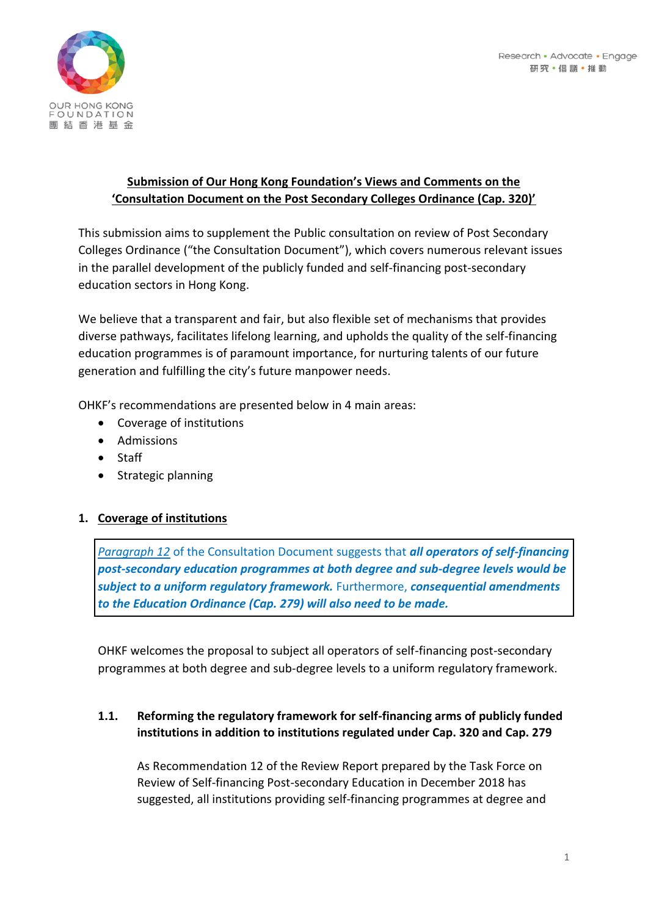

## **Submission of Our Hong Kong Foundation's Views and Comments on the 'Consultation Document on the Post Secondary Colleges Ordinance (Cap. 320)'**

This submission aims to supplement the Public consultation on review of Post Secondary Colleges Ordinance ("the Consultation Document"), which covers numerous relevant issues in the parallel development of the publicly funded and self-financing post-secondary education sectors in Hong Kong.

We believe that a transparent and fair, but also flexible set of mechanisms that provides diverse pathways, facilitates lifelong learning, and upholds the quality of the self-financing education programmes is of paramount importance, for nurturing talents of our future generation and fulfilling the city's future manpower needs.

OHKF's recommendations are presented below in 4 main areas:

- Coverage of institutions
- Admissions
- Staff
- Strategic planning

## **1. Coverage of institutions**

*Paragraph 12* of the Consultation Document suggests that *all operators of self-financing post-secondary education programmes at both degree and sub-degree levels would be subject to a uniform regulatory framework.* Furthermore, *consequential amendments to the Education Ordinance (Cap. 279) will also need to be made.*

OHKF welcomes the proposal to subject all operators of self-financing post-secondary programmes at both degree and sub-degree levels to a uniform regulatory framework.

## **1.1. Reforming the regulatory framework for self-financing arms of publicly funded institutions in addition to institutions regulated under Cap. 320 and Cap. 279**

As Recommendation 12 of the Review Report prepared by the Task Force on Review of Self-financing Post-secondary Education in December 2018 has suggested, all institutions providing self-financing programmes at degree and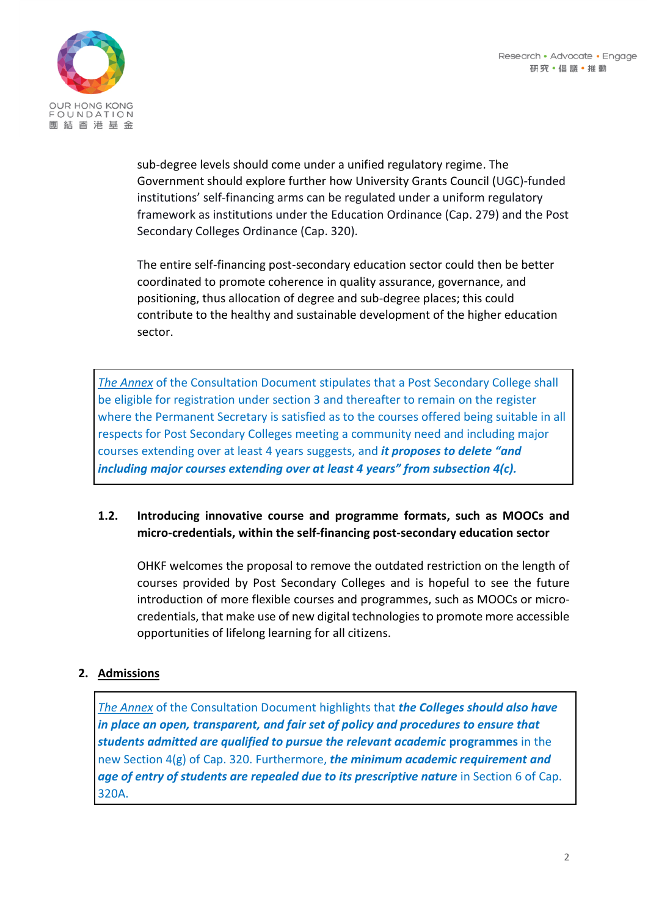

sub-degree levels should come under a unified regulatory regime. The Government should explore further how University Grants Council (UGC)-funded institutions' self-financing arms can be regulated under a uniform regulatory framework as institutions under the Education Ordinance (Cap. 279) and the Post Secondary Colleges Ordinance (Cap. 320).

The entire self-financing post-secondary education sector could then be better coordinated to promote coherence in quality assurance, governance, and positioning, thus allocation of degree and sub-degree places; this could contribute to the healthy and sustainable development of the higher education sector.

*The Annex* of the Consultation Document stipulates that a Post Secondary College shall be eligible for registration under section 3 and thereafter to remain on the register where the Permanent Secretary is satisfied as to the courses offered being suitable in all respects for Post Secondary Colleges meeting a community need and including major courses extending over at least 4 years suggests, and *it proposes to delete "and including major courses extending over at least 4 years" from subsection 4(c).*

#### **1.2. Introducing innovative course and programme formats, such as MOOCs and micro-credentials, within the self-financing post-secondary education sector**

OHKF welcomes the proposal to remove the outdated restriction on the length of courses provided by Post Secondary Colleges and is hopeful to see the future introduction of more flexible courses and programmes, such as MOOCs or microcredentials, that make use of new digital technologies to promote more accessible opportunities of lifelong learning for all citizens.

## **2. Admissions**

*The Annex* of the Consultation Document highlights that *the Colleges should also have in place an open, transparent, and fair set of policy and procedures to ensure that students admitted are qualified to pursue the relevant academic* **programmes** in the new Section 4(g) of Cap. 320. Furthermore, *the minimum academic requirement and age of entry of students are repealed due to its prescriptive nature* in Section 6 of Cap. 320A.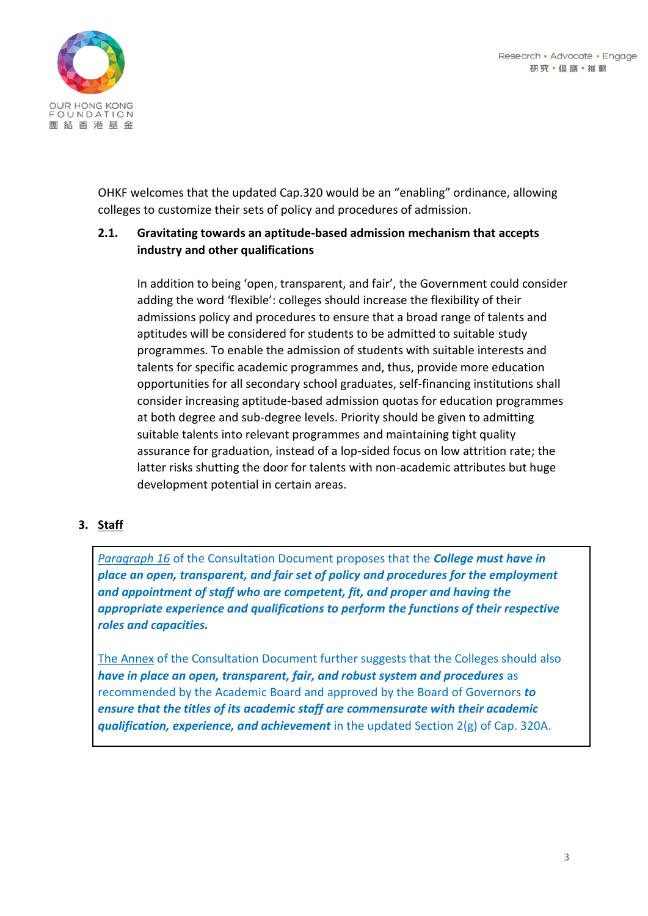

OHKF welcomes that the updated Cap.320 would be an "enabling" ordinance, allowing colleges to customize their sets of policy and procedures of admission.

## **2.1. Gravitating towards an aptitude-based admission mechanism that accepts industry and other qualifications**

In addition to being 'open, transparent, and fair', the Government could consider adding the word 'flexible': colleges should increase the flexibility of their admissions policy and procedures to ensure that a broad range of talents and aptitudes will be considered for students to be admitted to suitable study programmes. To enable the admission of students with suitable interests and talents for specific academic programmes and, thus, provide more education opportunities for all secondary school graduates, self-financing institutions shall consider increasing aptitude-based admission quotas for education programmes at both degree and sub-degree levels. Priority should be given to admitting suitable talents into relevant programmes and maintaining tight quality assurance for graduation, instead of a lop-sided focus on low attrition rate; the latter risks shutting the door for talents with non-academic attributes but huge development potential in certain areas.

## **3. Staff**

*Paragraph 16* of the Consultation Document proposes that the *College must have in place an open, transparent, and fair set of policy and procedures for the employment and appointment of staff who are competent, fit, and proper and having the appropriate experience and qualifications to perform the functions of their respective roles and capacities.*

The Annex of the Consultation Document further suggests that the Colleges should also *have in place an open, transparent, fair, and robust system and procedures* as recommended by the Academic Board and approved by the Board of Governors *to ensure that the titles of its academic staff are commensurate with their academic qualification, experience, and achievement* in the updated Section 2(g) of Cap. 320A.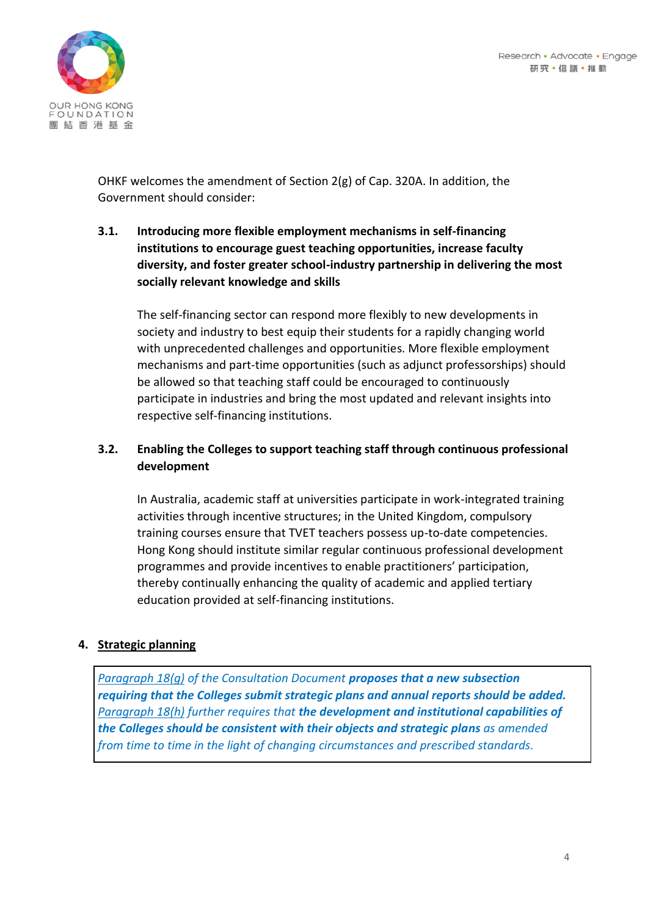

OHKF welcomes the amendment of Section 2(g) of Cap. 320A. In addition, the Government should consider:

## **3.1. Introducing more flexible employment mechanisms in self-financing institutions to encourage guest teaching opportunities, increase faculty diversity, and foster greater school-industry partnership in delivering the most socially relevant knowledge and skills**

The self-financing sector can respond more flexibly to new developments in society and industry to best equip their students for a rapidly changing world with unprecedented challenges and opportunities. More flexible employment mechanisms and part-time opportunities (such as adjunct professorships) should be allowed so that teaching staff could be encouraged to continuously participate in industries and bring the most updated and relevant insights into respective self-financing institutions.

# **3.2. Enabling the Colleges to support teaching staff through continuous professional development**

In Australia, academic staff at universities participate in work-integrated training activities through incentive structures; in the United Kingdom, compulsory training courses ensure that TVET teachers possess up-to-date competencies. Hong Kong should institute similar regular continuous professional development programmes and provide incentives to enable practitioners' participation, thereby continually enhancing the quality of academic and applied tertiary education provided at self-financing institutions.

#### **4. Strategic planning**

*Paragraph 18(g) of the Consultation Document proposes that a new subsection requiring that the Colleges submit strategic plans and annual reports should be added. Paragraph 18(h) further requires that the development and institutional capabilities of the Colleges should be consistent with their objects and strategic plans as amended from time to time in the light of changing circumstances and prescribed standards.*